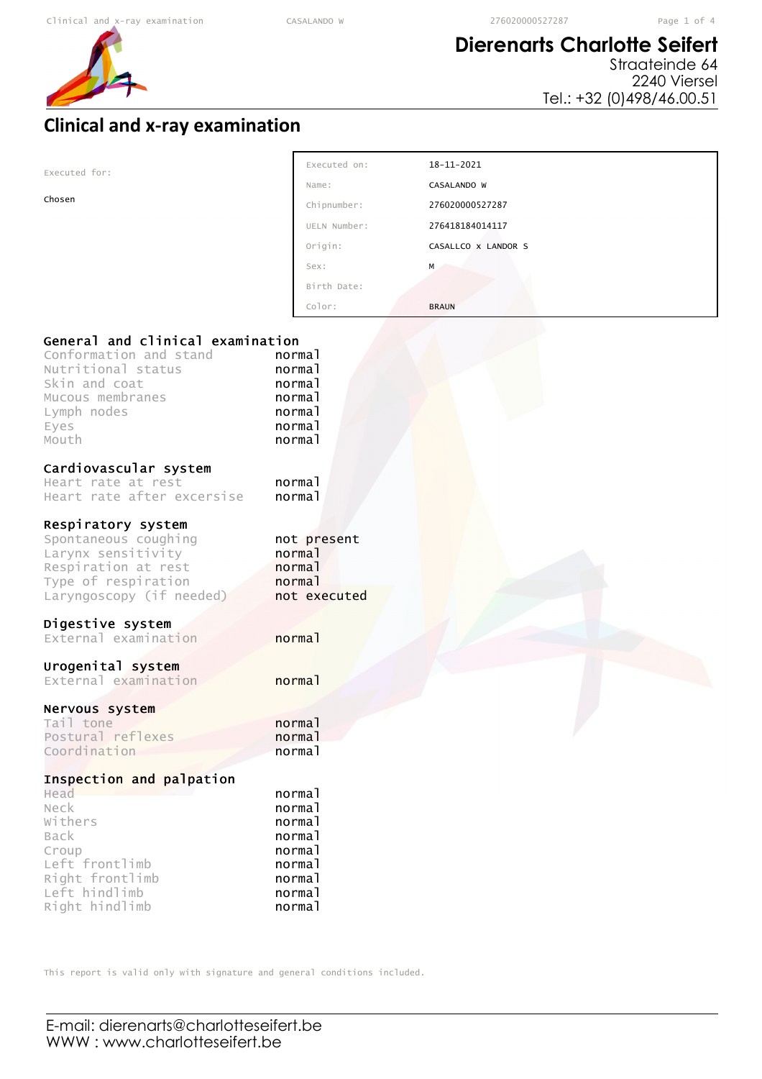# **Dierenarts Charlotte Seifert**

Straateinde 64 2240 Viersel Tel.: +32 (0)498/46.00.51

## **Clinical and x-ray examination**

| Executed for:                                                                                                                                         | EXECULED ON:                                                       | T9-TT-505T          |  |
|-------------------------------------------------------------------------------------------------------------------------------------------------------|--------------------------------------------------------------------|---------------------|--|
|                                                                                                                                                       | Name:                                                              | CASALANDO W         |  |
| Chosen                                                                                                                                                | Chipnumber:                                                        | 276020000527287     |  |
|                                                                                                                                                       | UELN Number:                                                       | 276418184014117     |  |
|                                                                                                                                                       | Origin:                                                            | CASALLCO X LANDOR S |  |
|                                                                                                                                                       | Sex:                                                               | M                   |  |
|                                                                                                                                                       | Birth Date:                                                        |                     |  |
|                                                                                                                                                       | Color:                                                             | <b>BRAUN</b>        |  |
| General and clinical examination<br>Conformation and stand<br>Nutritional status<br>Skin and coat<br>Mucous membranes<br>Lymph nodes<br>Eyes<br>Mouth | normal<br>normal<br>normal<br>normal<br>normal<br>normal<br>normal |                     |  |
| Cardiovascular system<br>Heart rate at rest<br>Heart rate after excersise                                                                             | normal<br>normal                                                   |                     |  |
| Respiratory system<br>Spontaneous coughing<br>Larynx sensitivity<br>Respiration at rest<br>Type of respiration<br>Laryngoscopy (if needed)            | not present<br>normal<br>normal<br>normal<br>not executed          |                     |  |
| Digestive system<br>External examination                                                                                                              | normal                                                             |                     |  |
| Urogenital system<br>External examination                                                                                                             | normal                                                             |                     |  |
| Nervous system                                                                                                                                        |                                                                    |                     |  |
| Tail tone<br>Postural reflexes                                                                                                                        | normal<br>normal                                                   |                     |  |
| Coordination                                                                                                                                          | normal                                                             |                     |  |
| Inspection and palpation<br>Head<br>Neck<br>Withers<br><b>Back</b><br>Croup<br>Left frontlimb<br>Right frontlimb                                      | normal<br>normal<br>normal<br>normal<br>normal<br>normal<br>normal |                     |  |
| Left hindlimb<br>Right hindlimb                                                                                                                       | normal<br>normal                                                   |                     |  |

Executed on: 18-11-2021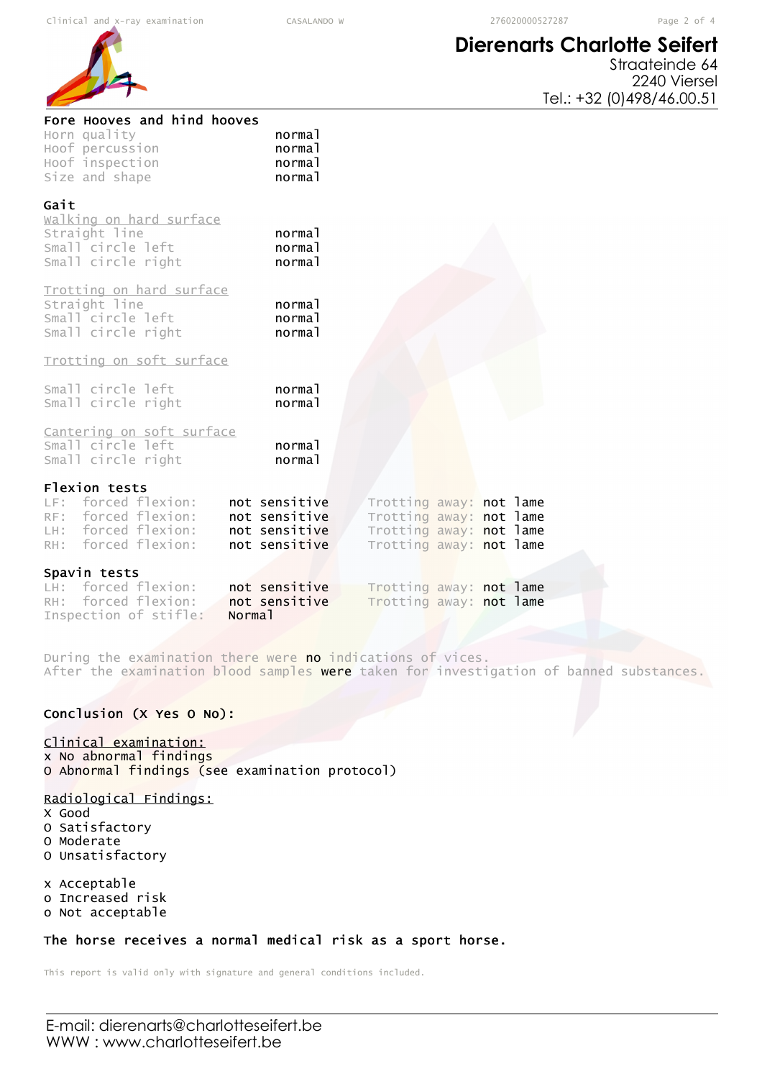## **Dierenarts Charlotte Seifert**



| Fore Hooves and hind hooves<br>Horn quality<br>Hoof percussion<br>Hoof inspection<br>Size and shape       |                    | normal<br>normal<br>normal<br>normal                             |                                                                                                          |  |  |
|-----------------------------------------------------------------------------------------------------------|--------------------|------------------------------------------------------------------|----------------------------------------------------------------------------------------------------------|--|--|
| Gait<br>walking on hard surface<br>Straight line<br>Small circle left<br>Small circle right               |                    | normal<br>normal<br>normal                                       |                                                                                                          |  |  |
| Trotting on hard surface<br>Straight line<br>Small circle left<br>Small circle right                      |                    | normal<br>normal<br>normal                                       |                                                                                                          |  |  |
| Trotting on soft surface                                                                                  |                    |                                                                  |                                                                                                          |  |  |
| Small circle left<br>Small circle right                                                                   |                    | normal<br>normal                                                 |                                                                                                          |  |  |
| Cantering on soft surface<br>Small circle left<br>Small circle right                                      |                    | normal<br>normal                                                 |                                                                                                          |  |  |
| Flexion tests<br>LF: forced flexion:<br>RF: forced flexion:<br>LH: forced flexion:<br>RH: forced flexion: |                    | not sensitive<br>not sensitive<br>not sensitive<br>not sensitive | Trotting away: not lame<br>Trotting away: not lame<br>Trotting away: not lame<br>Trotting away: not lame |  |  |
| Spavin tests<br>LH: forced flexion:                                                                       |                    | not sensitive                                                    | Trotting away: not lame                                                                                  |  |  |
| RH: forced flexion:<br>Inspection of stifle:                                                              | Norma <sub>1</sub> | not sensitive                                                    | Trotting away: not lame                                                                                  |  |  |
|                                                                                                           |                    |                                                                  |                                                                                                          |  |  |

During the examination there were no indications of vices. After the examination blood samples were taken for investigation of banned substances.

### Conclusion (X Yes O No):

### Clinical examination:

x No abnormal findings O Abnormal findings (see examination protocol)

### Radiological Findings:

- X Good
- O Satisfactory
- O Moderate
- O Unsatisfactory

x Acceptable o Increased risk

o Not acceptable

### The horse receives a normal medical risk as a sport horse.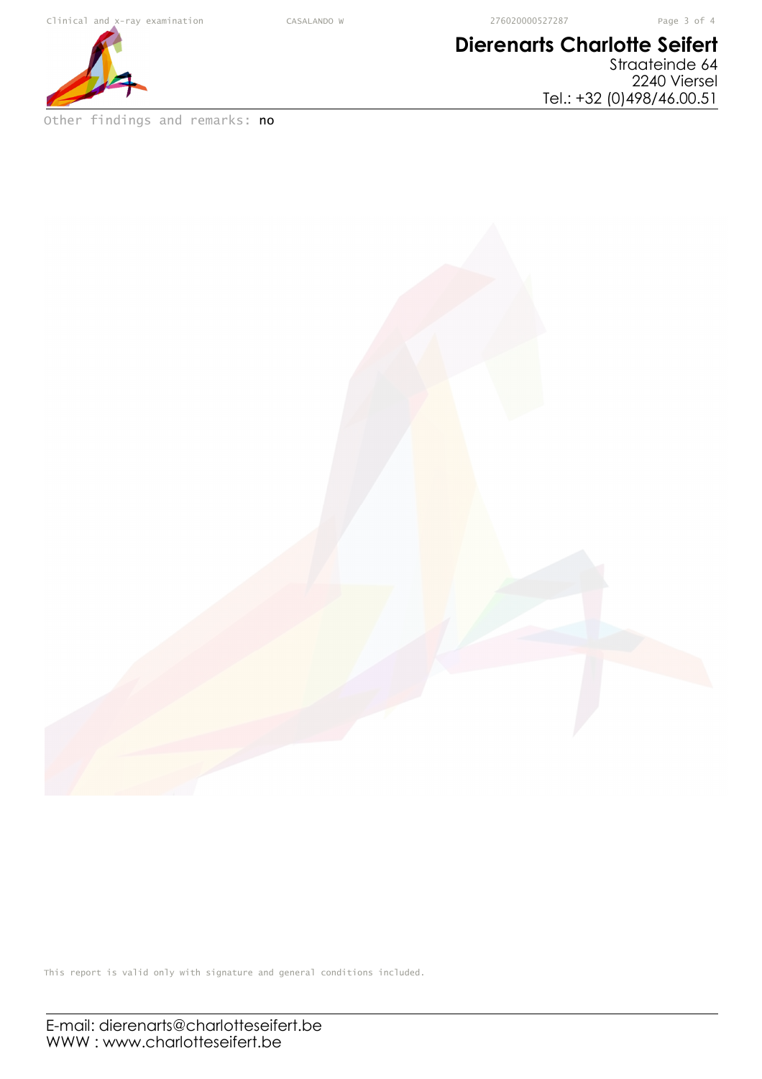# **Dierenarts Charlotte Seifert**

Straateinde 64 2240 Viersel Tel.: +32 (0)498/46.00.51



Other findings and remarks: no